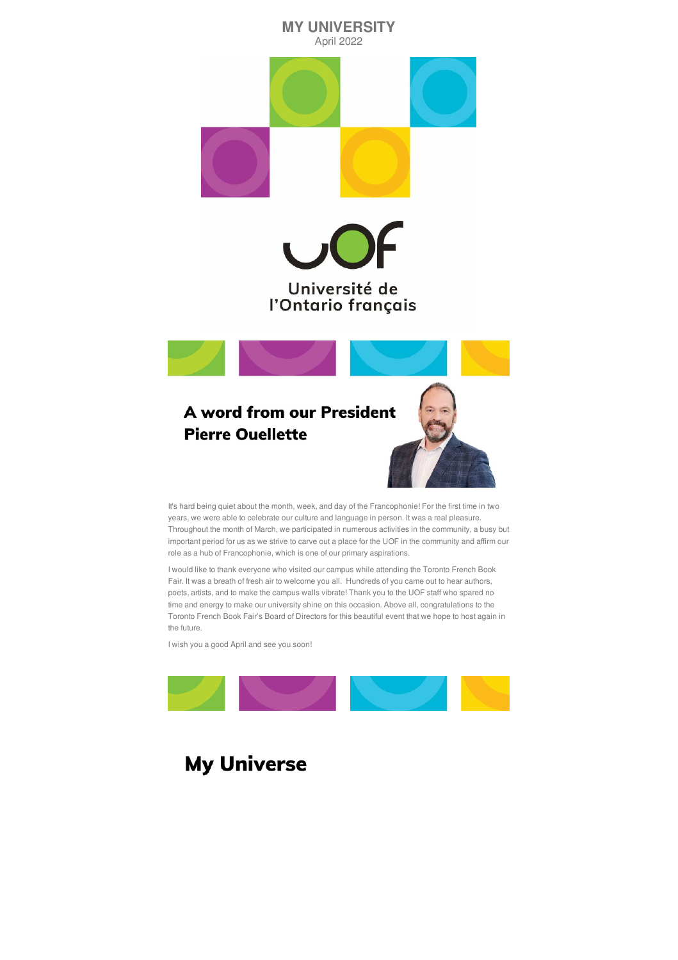

It's hard being quiet about the month, week, and day of the Francophonie! For the first time in two years, we were able to celebrate our culture and language in person. It was a real pleasure. Throughout the month of March, we participated in numerous activities in the community, a busy but important period for us as we strive to carve out a place for the UOF in the community and affirm our role as a hub of Francophonie, which is one of our primary aspirations.

I would like to thank everyone who visited our campus while attending the Toronto French Book Fair. It was a breath of fresh air to welcome you all. Hundreds of you came out to hear authors, poets, artists, and to make the campus walls vibrate! Thank you to the UOF staff who spared no time and energy to make our university shine on this occasion. Above all, congratulations to the

Toronto French Book Fair's Board of Directors for this beautiful event that we hope to host again in the future.

I wish you a good April and see you soon!



# **My Universe**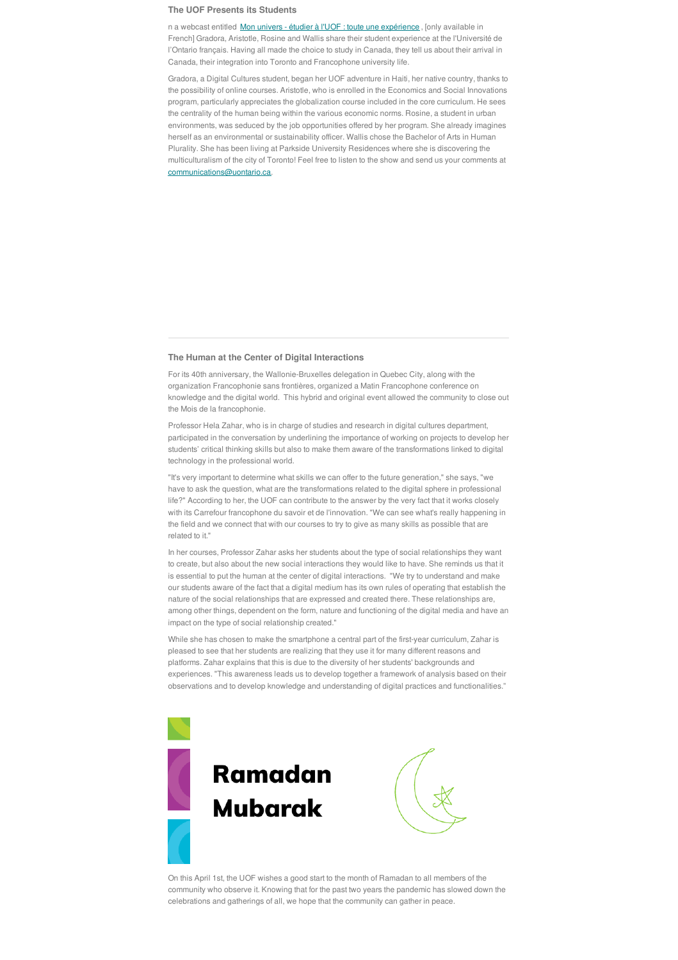#### **The UOF Presents its Students**

n a webcast entitled Mon univers - étudier à l'UOF : toute une [expérience](https://www.youtube.com/watch?v=9vOoytjiCOM), [only available in French] Gradora, Aristotle, Rosine and Wallis share their student experience at the l'Université de l'Ontario français. Having all made the choice to study in Canada, they tell us about their arrival in Canada, their integration into Toronto and Francophone university life.

Gradora, a Digital Cultures student, began her UOF adventure in Haiti, her native country, thanks to the possibility of online courses. Aristotle, who is enrolled in the Economics and Social Innovations program, particularly appreciates the globalization course included in the core curriculum. He sees the centrality of the human being within the various economic norms. Rosine, a student in urban environments, was seduced by the job opportunities offered by her program. She already imagines herself as an environmental or sustainability officer. Wallis chose the Bachelor of Arts in Human Plurality. She has been living at Parkside University Residences where she is discovering the multiculturalism of the city of Toronto! Feel free to listen to the show and send us your comments at communications@uontario.ca.

#### **The Human at the Center of Digital Interactions**

For its 40th anniversary, the Wallonie-Bruxelles delegation in Quebec City, along with the organization Francophonie sans frontières, organized a Matin Francophone conference on knowledge and the digital world. This hybrid and original event allowed the community to close out the Mois de la francophonie.

Professor Hela Zahar, who is in charge of studies and research in digital cultures department, participated in the conversation by underlining the importance of working on projects to develop her students' critical thinking skills but also to make them aware of the transformations linked to digital technology in the professional world.

"It's very important to determine what skills we can offer to the future generation," she says, "we have to ask the question, what are the transformations related to the digital sphere in professional life?" According to her, the UOF can contribute to the answer by the very fact that it works closely with its Carrefour francophone du savoir et de l'innovation. "We can see what's really happening in the field and we connect that with our courses to try to give as many skills as possible that are related to it."

In her courses, Professor Zahar asks her students about the type of social relationships they want to create, but also about the new social interactions they would like to have. She reminds us that it is essential to put the human at the center of digital interactions. "We try to understand and make our students aware of the fact that a digital medium has its own rules of operating that establish the nature of the social relationships that are expressed and created there. These relationships are, among other things, dependent on the form, nature and functioning of the digital media and have an impact on the type of social relationship created."

While she has chosen to make the smartphone a central part of the first-year curriculum, Zahar is pleased to see that her students are realizing that they use it for many different reasons and platforms. Zahar explains that this is due to the diversity of her students' backgrounds and experiences. "This awareness leads us to develop together a framework of analysis based on their observations and to develop knowledge and understanding of digital practices and functionalities."



On this April 1st, the UOF wishes a good start to the month of Ramadan to all members of the community who observe it. Knowing that for the past two years the pandemic has slowed down the celebrations and gatherings of all, we hope that the community can gather in peace.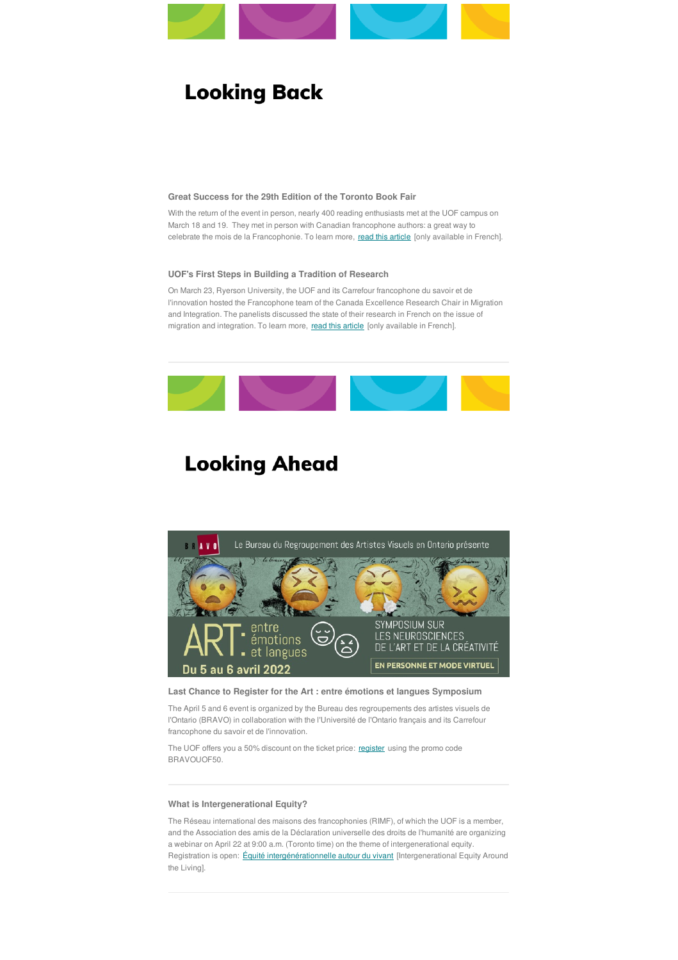

# **Looking Back**

### **Great Success for the 29th Edition of the Toronto Book Fair**

With the return of the event in person, nearly 400 reading enthusiasts met at the UOF campus on March 18 and 19. They met in person with Canadian francophone authors: a great way to celebrate the mois de la Francophonie. To learn more, read this [article](https://l-express.ca/tous-les-heritages-litteraires-salon-du-livre-2022/) [only available in French].

On March 23, Ryerson University, the UOF and its Carrefour francophone du savoir et de l'innovation hosted the Francophone team of the Canada Excellence Research Chair in Migration and Integration. The panelists discussed the state of their research in French on the issue of migration and integration. To learn more, read this [article](https://l-express.ca/recherches-en-francais-toronto-migration-lintegration-uof-ryerson/) [only available in French].



# **Looking Ahead**



### **UOF's First Steps in Building a Tradition of Research**

The UOF offers you a 50% discount on the ticket price: [register](https://art-entre-emotions-et-langues.com/prix-art-entre-emotions-et-langues/) using the promo code BRAVOUOF50.

## **Last Chance to Register for the Art : entre émotions et langues Symposium**

The April 5 and 6 event is organized by the Bureau des regroupements des artistes visuels de l'Ontario (BRAVO) in collaboration with the l'Université de l'Ontario français and its Carrefour francophone du savoir et de l'innovation.

### **What is Intergenerational Equity?**

The Réseau international des maisons des francophonies (RIMF), of which the UOF is a member, and the Association des amis de la Déclaration universelle des droits de l'humanité are organizing a webinar on April 22 at 9:00 a.m. (Toronto time) on the theme of intergenerational equity. Registration is open: *Équité [intergénérationnelle](https://forms.app/formbuilder/6239ed0217a64c6caea2bc1f/create) autour du vivant* [Intergenerational Equity Around the Living].